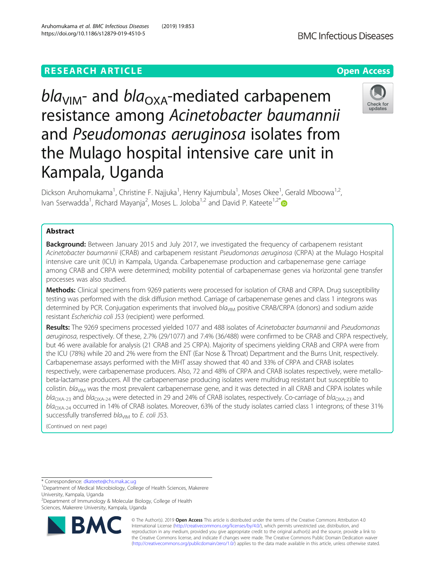# **RESEARCH ARTICLE Example 2014 12:30 The Contract of Contract ACCESS**

 $bla<sub>VIM</sub>$ - and  $bla<sub>OXA</sub>$ -mediated carbapenem resistance among Acinetobacter baumannii and Pseudomonas aeruginosa isolates from the Mulago hospital intensive care unit in Kampala, Uganda

Dickson Aruhomukama<sup>1</sup>, Christine F. Najjuka<sup>1</sup>, Henry Kajumbula<sup>1</sup>, Moses Okee<sup>1</sup>, Gerald Mboowa<sup>1,2</sup>, Ivan Sserwadda<sup>1</sup>, Richard Mayanja<sup>2</sup>, Moses L. Joloba<sup>1,2</sup> and David P. Kateete<sup>1,2\*</sup>

# Abstract

**Background:** Between January 2015 and July 2017, we investigated the frequency of carbapenem resistant Acinetobacter baumannii (CRAB) and carbapenem resistant Pseudomonas aeruginosa (CRPA) at the Mulago Hospital intensive care unit (ICU) in Kampala, Uganda. Carbapenemase production and carbapenemase gene carriage among CRAB and CRPA were determined; mobility potential of carbapenemase genes via horizontal gene transfer processes was also studied.

Methods: Clinical specimens from 9269 patients were processed for isolation of CRAB and CRPA. Drug susceptibility testing was performed with the disk diffusion method. Carriage of carbapenemase genes and class 1 integrons was determined by PCR. Conjugation experiments that involved  $bla<sub>MM</sub>$  positive CRAB/CRPA (donors) and sodium azide resistant Escherichia coli J53 (recipient) were performed.

Results: The 9269 specimens processed yielded 1077 and 488 isolates of Acinetobacter baumannii and Pseudomonas aeruginosa, respectively. Of these, 2.7% (29/1077) and 7.4% (36/488) were confirmed to be CRAB and CRPA respectively, but 46 were available for analysis (21 CRAB and 25 CRPA). Majority of specimens yielding CRAB and CRPA were from the ICU (78%) while 20 and 2% were from the ENT (Ear Nose & Throat) Department and the Burns Unit, respectively. Carbapenemase assays performed with the MHT assay showed that 40 and 33% of CRPA and CRAB isolates respectively, were carbapenemase producers. Also, 72 and 48% of CRPA and CRAB isolates respectively, were metallobeta-lactamase producers. All the carbapenemase producing isolates were multidrug resistant but susceptible to colistin. bla<sub>VIM</sub> was the most prevalent carbapenemase gene, and it was detected in all CRAB and CRPA isolates while  $bla<sub>OXA-23</sub>$  and  $bla<sub>OXA-24</sub>$  were detected in 29 and 24% of CRAB isolates, respectively. Co-carriage of  $bla<sub>OXA-23</sub>$  and  $bla<sub>OXA-24</sub>$  occurred in 14% of CRAB isolates. Moreover, 63% of the study isolates carried class 1 integrons; of these 31% successfully transferred bla<sub>VIM</sub> to E. coli J53.

(Continued on next page)

\* Correspondence: [dkateete@chs.mak.ac.ug](mailto:dkateete@chs.mak.ac.ug) <sup>1</sup>

RA

2 Department of Immunology & Molecular Biology, College of Health Sciences, Makerere University, Kampala, Uganda



# Aruhomukama et al. BMC Infectious Diseases (2019) 19:853 https://doi.org/10.1186/s12879-019-4510-5



<sup>&</sup>lt;sup>1</sup>Department of Medical Microbiology, College of Health Sciences, Makerere University, Kampala, Uganda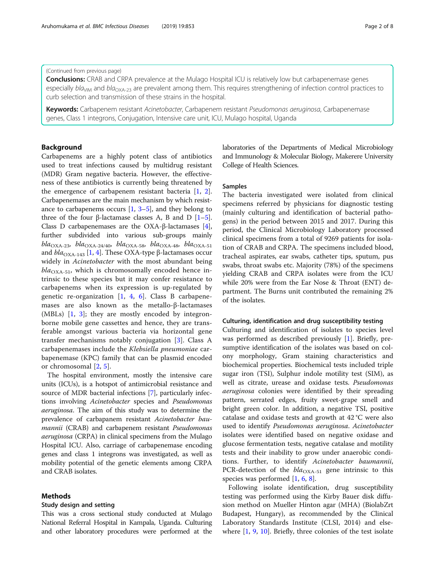# (Continued from previous page)

**Conclusions:** CRAB and CRPA prevalence at the Mulago Hospital ICU is relatively low but carbapenemase genes especially bla<sub>VIM</sub> and bla<sub>OXA-23</sub> are prevalent among them. This requires strengthening of infection control practices to curb selection and transmission of these strains in the hospital.

Keywords: Carbapenem resistant Acinetobacter, Carbapenem resistant Pseudomonas aeruginosa, Carbapenemase genes, Class 1 integrons, Conjugation, Intensive care unit, ICU, Mulago hospital, Uganda

# **Background**

Carbapenems are a highly potent class of antibiotics used to treat infections caused by multidrug resistant (MDR) Gram negative bacteria. However, the effectiveness of these antibiotics is currently being threatened by the emergence of carbapenem resistant bacteria [[1,](#page-6-0) [2](#page-6-0)]. Carbapenemases are the main mechanism by which resistance to carbapenems occurs  $[1, 3-5]$  $[1, 3-5]$  $[1, 3-5]$  $[1, 3-5]$  $[1, 3-5]$  $[1, 3-5]$ , and they belong to three of the four β-lactamase classes A, B and D  $[1-5]$  $[1-5]$  $[1-5]$  $[1-5]$  $[1-5]$ . Class D carbapenemases are the OXA-β-lactamases [[4](#page-6-0)], further subdivided into various sub-groups mainly bla<sub>OXA-23</sub>, bla<sub>OXA-24/40</sub>, bla<sub>OXA-58</sub>, bla<sub>OXA-48</sub>, bla<sub>OXA-51</sub> and  $bla<sub>OXA-143</sub>$  $bla<sub>OXA-143</sub>$  $bla<sub>OXA-143</sub>$  [1, [4\]](#page-6-0). These OXA-type β-lactamases occur widely in Acinetobacter with the most abundant being  $bla_{\text{OXA-51}}$ , which is chromosomally encoded hence intrinsic to these species but it may confer resistance to carbapenems when its expression is up-regulated by genetic re-organization  $[1, 4, 6]$  $[1, 4, 6]$  $[1, 4, 6]$  $[1, 4, 6]$  $[1, 4, 6]$  $[1, 4, 6]$  $[1, 4, 6]$ . Class B carbapenemases are also known as the metallo-β-lactamases (MBLs) [\[1](#page-6-0), [3](#page-6-0)]; they are mostly encoded by integronborne mobile gene cassettes and hence, they are transferable amongst various bacteria via horizontal gene transfer mechanisms notably conjugation [[3](#page-6-0)]. Class A carbapenemases include the Klebsiella pneumoniae carbapenemase (KPC) family that can be plasmid encoded or chromosomal [[2,](#page-6-0) [5\]](#page-6-0).

The hospital environment, mostly the intensive care units (ICUs), is a hotspot of antimicrobial resistance and source of MDR bacterial infections [[7\]](#page-6-0), particularly infections involving Acinetobacter species and Pseudomonas aeruginosa. The aim of this study was to determine the prevalence of carbapanem resistant Acinetobacter baumannii (CRAB) and carbapenem resistant Pseudomonas aeruginosa (CRPA) in clinical specimens from the Mulago Hospital ICU. Also, carriage of carbapenemase encoding genes and class 1 integrons was investigated, as well as mobility potential of the genetic elements among CRPA and CRAB isolates.

# Methods

# Study design and setting

This was a cross sectional study conducted at Mulago National Referral Hospital in Kampala, Uganda. Culturing and other laboratory procedures were performed at the laboratories of the Departments of Medical Microbiology and Immunology & Molecular Biology, Makerere University College of Health Sciences.

# Samples

The bacteria investigated were isolated from clinical specimens referred by physicians for diagnostic testing (mainly culturing and identification of bacterial pathogens) in the period between 2015 and 2017. During this period, the Clinical Microbiology Laboratory processed clinical specimens from a total of 9269 patients for isolation of CRAB and CRPA. The specimens included blood, tracheal aspirates, ear swabs, catheter tips, sputum, pus swabs, throat swabs etc. Majority (78%) of the specimens yielding CRAB and CRPA isolates were from the ICU while 20% were from the Ear Nose & Throat (ENT) department. The Burns unit contributed the remaining 2% of the isolates.

# Culturing, identification and drug susceptibility testing

Culturing and identification of isolates to species level was performed as described previously [[1\]](#page-6-0). Briefly, presumptive identification of the isolates was based on colony morphology, Gram staining characteristics and biochemical properties. Biochemical tests included triple sugar iron (TSI), Sulphur indole motility test (SIM), as well as citrate, urease and oxidase tests. Pseudomonas aeruginosa colonies were identified by their spreading pattern, serrated edges, fruity sweet-grape smell and bright green color. In addition, a negative TSI, positive catalase and oxidase tests and growth at 42 °C were also used to identify Pseudomonas aeruginosa. Acinetobacter isolates were identified based on negative oxidase and glucose fermentation tests, negative catalase and motility tests and their inability to grow under anaerobic conditions. Further, to identify Acinetobacter baumannii, PCR-detection of the  $bla_{\text{OXA-51}}$  gene intrinsic to this species was performed [\[1,](#page-6-0) [6,](#page-6-0) [8\]](#page-6-0).

Following isolate identification, drug susceptibility testing was performed using the Kirby Bauer disk diffusion method on Mueller Hinton agar (MHA) (BiolabZrt Budapest, Hungary), as recommended by the Clinical Laboratory Standards Institute (CLSI, 2014) and elsewhere [[1,](#page-6-0) [9](#page-6-0), [10](#page-6-0)]. Briefly, three colonies of the test isolate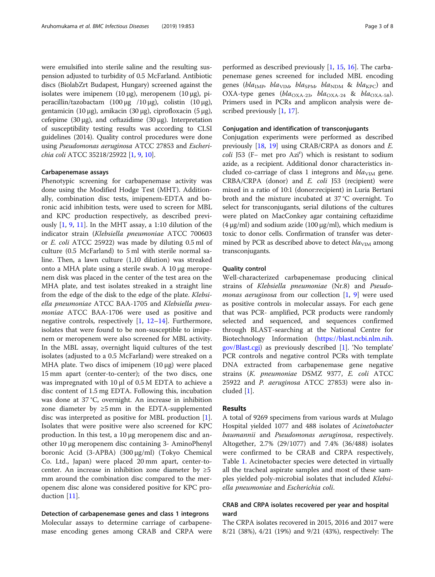were emulsified into sterile saline and the resulting suspension adjusted to turbidity of 0.5 McFarland. Antibiotic discs (BiolabZrt Budapest, Hungary) screened against the isolates were imipenem  $(10 \mu g)$ , meropenem  $(10 \mu g)$ , piperacillin/tazobactam (100 μg /10 μg), colistin (10 μg), gentamicin (10 μg), amikacin (30 μg), ciprofloxacin (5 μg), cefepime (30 μg), and ceftazidime (30 μg). Interpretation of susceptibility testing results was according to CLSI guidelines (2014). Quality control procedures were done using Pseudomonas aeruginosa ATCC 27853 and Escherichia coli ATCC 35218/25922 [\[1,](#page-6-0) [9](#page-6-0), [10\]](#page-6-0).

#### Carbapenemase assays

Phenotypic screening for carbapenemase activity was done using the Modified Hodge Test (MHT). Additionally, combination disc tests, imipenem-EDTA and boronic acid inhibition tests, were used to screen for MBL and KPC production respectively, as described previously [\[1](#page-6-0), [9](#page-6-0), [11\]](#page-6-0). In the MHT assay, a 1:10 dilution of the indicator strain (Klebsiella pneumoniae ATCC 700603 or E. coli ATCC 25922) was made by diluting 0.5 ml of culture (0.5 McFarland) to 5 ml with sterile normal saline. Then, a lawn culture (1,10 dilution) was streaked onto a MHA plate using a sterile swab. A 10 μg meropenem disk was placed in the center of the test area on the MHA plate, and test isolates streaked in a straight line from the edge of the disk to the edge of the plate. Klebsiella pneumoniae ATCC BAA-1705 and Klebsiella pneumoniae ATCC BAA-1706 were used as positive and negative controls, respectively [[1](#page-6-0), [12](#page-6-0)–[14\]](#page-6-0). Furthermore, isolates that were found to be non-susceptible to imipenem or meropenem were also screened for MBL activity. In the MBL assay, overnight liquid cultures of the test isolates (adjusted to a 0.5 McFarland) were streaked on a MHA plate. Two discs of imipenem (10 μg) were placed 15 mm apart (center-to-center); of the two discs, one was impregnated with 10 μl of 0.5 M EDTA to achieve a disc content of 1.5 mg EDTA. Following this, incubation was done at 37 °C, overnight. An increase in inhibition zone diameter by  $\geq 5$  mm in the EDTA-supplemented disc was interpreted as positive for MBL production [\[1](#page-6-0)]. Isolates that were positive were also screened for KPC production. In this test, a 10 μg meropenem disc and another 10 μg meropenem disc containing 3- AminoPhenyl boronic Acid (3-APBA) (300 μg/ml) (Tokyo Chemical Co. Ltd., Japan) were placed 20 mm apart, center-tocenter. An increase in inhibition zone diameter by  $\geq 5$ mm around the combination disc compared to the meropenem disc alone was considered positive for KPC production [[11\]](#page-6-0).

Detection of carbapenemase genes and class 1 integrons Molecular assays to determine carriage of carbapenemase encoding genes among CRAB and CRPA were performed as described previously [[1,](#page-6-0) [15,](#page-6-0) [16\]](#page-6-0). The carbapenemase genes screened for included MBL encoding genes (bla<sub>IMP</sub>, bla<sub>VIM</sub>, bla<sub>SPM</sub>, bla<sub>NDM</sub> & bla<sub>KPC</sub>) and OXA-type genes (bla<sub>OXA-23</sub>, bla<sub>OXA-24</sub> & bla<sub>OXA-58</sub>). Primers used in PCRs and amplicon analysis were described previously [\[1](#page-6-0), [17](#page-6-0)].

# Conjugation and identification of transconjugants

Conjugation experiments were performed as described previously [[18](#page-6-0), [19\]](#page-7-0) using CRAB/CRPA as donors and E. coli J53 (F− met pro Azir ) which is resistant to sodium azide, as a recipient. Additional donor characteristics included co-carriage of class 1 integrons and  $bla<sub>VIM</sub>$  gene. CRBA/CRPA (donor) and E. coli J53 (recipient) were mixed in a ratio of 10:1 (donor:recipient) in Luria Bertani broth and the mixture incubated at 37 °C overnight. To select for transconjugants, serial dilutions of the cultures were plated on MacConkey agar containing ceftazidime (4 μg/ml) and sodium azide (100 μg/ml), which medium is toxic to donor cells. Confirmation of transfer was determined by PCR as described above to detect  $bla<sub>VIM</sub>$  among transconjugants.

## Quality control

Well-characterized carbapenemase producing clinical strains of Klebsiella pneumoniae (Nr.8) and Pseudo-monas aeruginosa from our collection [[1,](#page-6-0) [9](#page-6-0)] were used as positive controls in molecular assays. For each gene that was PCR- amplified, PCR products were randomly selected and sequenced, and sequences confirmed through BLAST-searching at the National Centre for Biotechnology Information [\(https://blast.ncbi.nlm.nih.](https://blast.ncbi.nlm.nih.gov/Blast.cgi) [gov/Blast.cgi](https://blast.ncbi.nlm.nih.gov/Blast.cgi)) as previously described [[1\]](#page-6-0). 'No template' PCR controls and negative control PCRs with template DNA extracted from carbapenemase gene negative strains (K. pneumoniae DSMZ 9377, E. coli ATCC 25922 and P. aeruginosa ATCC 27853) were also included [[1\]](#page-6-0).

# Results

A total of 9269 specimens from various wards at Mulago Hospital yielded 1077 and 488 isolates of Acinetobacter baumannii and Pseudomonas aeruginosa, respectively. Altogether, 2.7% (29/1077) and 7.4% (36/488) isolates were confirmed to be CRAB and CRPA respectively, Table [1.](#page-3-0) Acinetobacter species were detected in virtually all the tracheal aspirate samples and most of these samples yielded poly-microbial isolates that included Klebsiella pneumoniae and Escherichia coli.

# CRAB and CRPA isolates recovered per year and hospital ward

The CRPA isolates recovered in 2015, 2016 and 2017 were 8/21 (38%), 4/21 (19%) and 9/21 (43%), respectively: The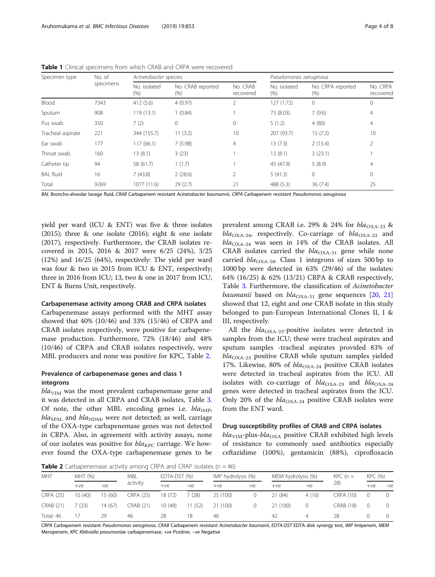| Specimen type     | No. of<br>specimens | Acinetobacter species   |                           |                       | Pseudomonas aeruginosa |                              |                       |  |
|-------------------|---------------------|-------------------------|---------------------------|-----------------------|------------------------|------------------------------|-----------------------|--|
|                   |                     | No. isolated<br>$(\% )$ | No. CRAB reported<br>(% ) | No. CRAB<br>recovered | No. isolated<br>(% )   | No. CRPA reported<br>$(\% )$ | No. CRPA<br>recovered |  |
| Blood             | 7343                | 412 (5.6)               | 4(0.97)                   |                       | 127(1.72)              | $\mathbf{0}$                 | 0                     |  |
| Sputum            | 908                 | 119(13.1)               | 1(0.84)                   |                       | 73 (8.03)              | 7(9.6)                       | 4                     |  |
| Pus swab          | 350                 | 7(2)                    | $\Omega$                  | $\Omega$              | 5(1.2)                 | 4(80)                        | 4                     |  |
| Tracheal aspirate | 221                 | 344 (155.7)             | 11(3.2)                   | 10                    | 207 (93.7)             | 15(7.2)                      | 10                    |  |
| Ear swab          | 177                 | 117(66.1)               | 7(5.98)                   | 4                     | 13(7.3)                | 2(15.4)                      | 2                     |  |
| Throat swab       | 160                 | 13(8.1)                 | 3(23)                     |                       | 13(8.1)                | 3(23.1)                      |                       |  |
| Catheter tip      | 94                  | 58 (61.7)               | 1(1.7)                    |                       | 45 (47.9)              | 5(8.9)                       | 4                     |  |
| <b>BAL fluid</b>  | 16                  | 7(43.8)                 | 2(28.6)                   | 2                     | 5(41.3)                | $\mathbf{0}$                 | 0                     |  |
| Total             | 9269                | 1077 (11.6)             | 29(2.7)                   | 21                    | 488 (5.3)              | 36(7.4)                      | 25                    |  |

<span id="page-3-0"></span>Table 1 Clinical specimens from which CRAB and CRPA were recovered

BAL Broncho-alveolar lavage fluid, CRAB Carbapenem resistant Acinetobacter baumannii, CRPA Carbapenem resistant Pseudomonas aeruginosa

yield per ward (ICU & ENT) was five & three isolates (2015); three & one isolate (2016); eight & one isolate (2017), respectively. Furthermore, the CRAB isolates recovered in 2015, 2016 & 2017 were 6/25 (24%), 3/25 (12%) and 16/25 (64%), respectively: The yield per ward was four & two in 2015 from ICU & ENT, respectively; three in 2016 from ICU; 13, two & one in 2017 from ICU, ENT & Burns Unit, respectively.

#### Carbapenemase activity among CRAB and CRPA isolates

Carbapenemase assays performed with the MHT assay showed that 40% (10/46) and 33% (15/46) of CRPA and CRAB isolates respectively, were positive for carbapenemase production. Furthermore, 72% (18/46) and 48% (10/46) of CRPA and CRAB isolates respectively, were MBL producers and none was positive for KPC, Table 2.

# Prevalence of carbapenemase genes and class 1 integrons

 $bla<sub>VIM</sub>$  was the most prevalent carbapenemase gene and it was detected in all CRPA and CRAB isolates, Table [3](#page-4-0). Of note, the other MBL encoding genes i.e.  $bla_{\text{IMP}}$ ,  $bla<sub>SPM</sub>$ , and  $bla<sub>NDM</sub>$ , were not detected; as well, carriage of the OXA-type carbapenemase genes was not detected in CRPA. Also, in agreement with activity assays, none of our isolates was positive for  $bla_{\text{KPC}}$  carriage. We however found the OXA-type carbapenemase genes to be

prevalent among CRAB i.e. 29% & 24% for  $bla_{\text{OXA-23}}$  &  $bla_{\text{OXA-24}}$ , respectively. Co-carriage of  $bla_{\text{OXA-23}}$  and  $bla_{\text{OXA-24}}$  was seen in 14% of the CRAB isolates. All CRAB isolates carried the  $bla_{\text{OXA-51}}$  gene while none carried  $bla_{\text{OXA-58}}$ . Class 1 integrons of sizes 500 bp to 1000 bp were detected in 63% (29/46) of the isolates: 64% (16/25) & 62% (13/21) CRPA & CRAB respectively, Table [3](#page-4-0). Furthermore, the classification of Acinetobacter baumanii based on  $bla_{\text{OXA-51}}$  gene sequences [[20,](#page-7-0) [21](#page-7-0)] showed that 12, eight and one CRAB isolate in this study belonged to pan-European International Clones II, I & III, respectively.

All the  $bla_{\text{OXA-23}}$ -positive isolates were detected in samples from the ICU; these were tracheal aspirates and sputum samples -tracheal aspirates provided 83% of  $bla<sub>OXA-23</sub>$  positive CRAB while sputum samples yielded 17%. Likewise, 80% of  $bla_{\text{OXA-24}}$  positive CRAB isolates were detected in tracheal aspirates from the ICU. All isolates with co-carriage of  $bla_{\text{OXA-23}}$  and  $bla_{\text{OXA-24}}$ genes were detected in tracheal aspirates from the ICU. Only 20% of the  $bla_{\text{OXA-24}}$  positive CRAB isolates were from the ENT ward.

# Drug susceptibility profiles of CRAB and CRPA isolates

 $bla<sub>VIM</sub>$ -plus-bla<sub>OXA</sub> positive CRAB exhibited high levels of resistance to commonly used antibiotics especially ceftazidime (100%), gentamicin (88%), ciprofloxacin

**Table 2** Carbapenemase activity among CRPA and CRAP isolates ( $n = 46$ )

| <b>MHT</b>       |         | MHT (%) |           | EDTA-DST (%) |         | IMP hydrolysis (%) |       | MEM hydrolysis (%) |       | $KPC(n=$  |       | KPC (%)          |  |
|------------------|---------|---------|-----------|--------------|---------|--------------------|-------|--------------------|-------|-----------|-------|------------------|--|
|                  | $+ve$   | $-ve$   | activity  | $+ve$        | $-ve$   | $+ve$              | $-ve$ | $+ve$              | $-ve$ | 28)       | $+ve$ | $-ve$            |  |
| <b>CRPA (25)</b> | 10 (40) | 15(60)  | CRPA (25) | 18 (72)      | 7(28)   | 25 (100)           |       | 21(84)             | 4(16) | CRPA (10) |       | 0                |  |
| <b>CRAB (21)</b> | (33)    | 14(67)  | CRAB (21) | 10 (48)      | 11 (52) | 21 (100)           |       | 21 (100)           |       | CRAB (18) |       | $\left( \right)$ |  |
| Total: 46        |         | 29      | 46        | 28           | 18      | 46                 |       | 42                 | 4     | 28        |       | $\left( \right)$ |  |

CRPA Carbapenem resistant Pseudomonas aeruginosa, CRAB Carbapenem resistant Acinetobacter baumanii, EDTA-DST EDTA disk synergy test, IMP Imipenem, MEM Meropenem, KPC Klebsiella pneumoniae carbapenemase, +ve Positive, −ve Negative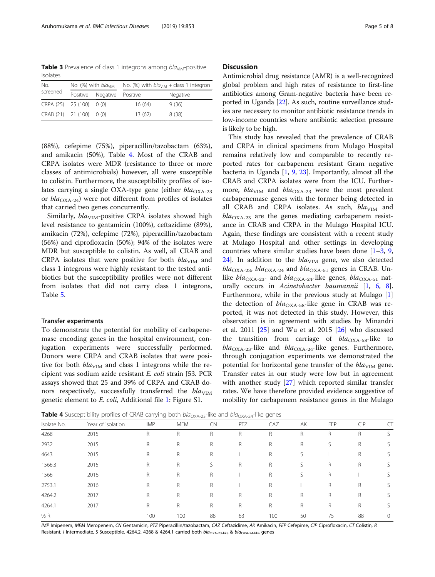<span id="page-4-0"></span>**Table 3** Prevalence of class 1 integrons among  $bla<sub>VIM</sub>$ -positive isolates

| No.                      |                            | No. (%) with $blaVIM$ | No. (%) with $blaMM + class 1$ integron |          |  |  |  |
|--------------------------|----------------------------|-----------------------|-----------------------------------------|----------|--|--|--|
| screened                 | Positive Negative Positive |                       |                                         | Negative |  |  |  |
| CRPA (25) 25 (100) 0 (0) |                            |                       | 16(64)                                  | 9(36)    |  |  |  |
| CRAB (21) 21 (100) 0 (0) |                            |                       | 13(62)                                  | 8(38)    |  |  |  |

(88%), cefepime (75%), piperacillin/tazobactam (63%), and amikacin (50%), Table 4. Most of the CRAB and CRPA isolates were MDR (resistance to three or more classes of antimicrobials) however, all were susceptible to colistin. Furthermore, the susceptibility profiles of isolates carrying a single OXA-type gene (either  $bla_{\text{OXA-23}}$ or  $bla_{\text{OXA-24}}$ ) were not different from profiles of isolates that carried two genes concurrently.

Similarly,  $bla_{VIM}$ -positive CRPA isolates showed high level resistance to gentamicin (100%), ceftazidime (89%), amikacin (72%), cefepime (72%), piperacillin/tazobactam (56%) and ciprofloxacin (50%); 94% of the isolates were MDR but susceptible to colistin. As well, all CRAB and CRPA isolates that were positive for both  $bla_{VIM}$  and class 1 integrons were highly resistant to the tested antibiotics but the susceptibility profiles were not different from isolates that did not carry class 1 integrons, Table [5.](#page-5-0)

#### Transfer experiments

To demonstrate the potential for mobility of carbapenemase encoding genes in the hospital environment, conjugation experiments were successfully performed. Donors were CRPA and CRAB isolates that were positive for both  $bla<sub>VIM</sub>$  and class 1 integrons while the recipient was sodium azide resistant E. coli strain J53. PCR assays showed that 25 and 39% of CRPA and CRAB donors respectively, successfully transferred the  $bla<sub>VIM</sub>$ genetic element to E. coli, Additional file [1](#page-6-0): Figure S1.

# **Discussion**

Antimicrobial drug resistance (AMR) is a well-recognized global problem and high rates of resistance to first-line antibiotics among Gram-negative bacteria have been reported in Uganda [\[22](#page-7-0)]. As such, routine surveillance studies are necessary to monitor antibiotic resistance trends in low-income countries where antibiotic selection pressure is likely to be high.

This study has revealed that the prevalence of CRAB and CRPA in clinical specimens from Mulago Hospital remains relatively low and comparable to recently reported rates for carbapenem resistant Gram negative bacteria in Uganda [\[1](#page-6-0), [9](#page-6-0), [23\]](#page-7-0). Importantly, almost all the CRAB and CRPA isolates were from the ICU. Furthermore,  $bla<sub>VIM</sub>$  and  $bla<sub>OXA-23</sub>$  were the most prevalent carbapenemase genes with the former being detected in all CRAB and CRPA isolates. As such,  $bla_{VIM}$  and  $bla_{\text{OXA-23}}$  are the genes mediating carbapenem resistance in CRAB and CRPA in the Mulago Hospital ICU. Again, these findings are consistent with a recent study at Mulago Hospital and other settings in developing countries where similar studies have been done  $[1-3, 9, 9]$  $[1-3, 9, 9]$  $[1-3, 9, 9]$  $[1-3, 9, 9]$  $[1-3, 9, 9]$  $[1-3, 9, 9]$  $[1-3, 9, 9]$ [24\]](#page-7-0). In addition to the  $bla<sub>VIM</sub>$  gene, we also detected  $bla_{\text{OXA-23}}$ ,  $bla_{\text{OXA-24}}$  and  $bla_{\text{OXA-51}}$  genes in CRAB. Unlike  $bla_{\text{OXA-23}}$  and  $bla_{\text{OXA-24}}$ -like genes,  $bla_{\text{OXA-51}}$  naturally occurs in Acinetobacter baumannii  $[1, 6, 8]$  $[1, 6, 8]$  $[1, 6, 8]$  $[1, 6, 8]$  $[1, 6, 8]$  $[1, 6, 8]$ . Furthermore, while in the previous study at Mulago [\[1](#page-6-0)] the detection of  $bla_{\text{OXA-58}}$ -like gene in CRAB was reported, it was not detected in this study. However, this observation is in agreement with studies by Minandri et al. 2011 [[25\]](#page-7-0) and Wu et al. 2015 [\[26\]](#page-7-0) who discussed the transition from carriage of  $bla_{\text{OXA-58}}$ -like to  $bla_{\text{OXA-23}}$ -like and  $bla_{\text{OXA-24}}$ -like genes. Furthermore, through conjugation experiments we demonstrated the potential for horizontal gene transfer of the  $bla<sub>VIM</sub>$  gene. Transfer rates in our study were low but in agreement with another study [\[27\]](#page-7-0) which reported similar transfer rates. We have therefore provided evidence suggestive of mobility for carbapenem resistance genes in the Mulago

**Table 4** Susceptibility profiles of CRAB carrying both  $bla_{\text{OXA-23}}$ -like and  $bla_{\text{OXA-24}}$ -like genes

|             | . .               |             |            | ------    | ---------- |              |             |     |              |        |
|-------------|-------------------|-------------|------------|-----------|------------|--------------|-------------|-----|--------------|--------|
| Isolate No. | Year of isolation | <b>IMP</b>  | <b>MEM</b> | <b>CN</b> | PTZ        | CAZ          | AK          | FEP | CIP          |        |
| 4268        | 2015              | R           | R          | R         | R          | R            | R           | R   | R            |        |
| 2932        | 2015              | R           | R          | R         | R          | R            | R           | S   | R            |        |
| 4643        | 2015              | R           | R          | R         |            | R            | S.          |     | $\mathsf{R}$ |        |
| 1566.3      | 2015              | R           | R          | S         | R          | $\mathsf{R}$ | S           | R   | $\mathsf{R}$ | S.     |
| 1566        | 2016              | R           | R          | R         |            | R            | S           | R   |              |        |
| 2753.1      | 2016              | R           | R          | R         |            | R            |             | R   | R            |        |
| 4264.2      | 2017              | R           | R          | R         | R          | R            | R           | R   | $\mathsf{R}$ | S      |
| 4264.1      | 2017              | $\mathsf R$ | R          | R         | R          | $\mathsf{R}$ | $\mathsf R$ | R   | R            |        |
| % R         |                   | 100         | 100        | 88        | 63         | 100          | 50          | 75  | 88           | $\cup$ |
|             |                   |             |            |           |            |              |             |     |              |        |

IMP Imipenem, MEM Meropenem, CN Gentamicin, PTZ Piperacillin/tazobactam, CAZ Ceftazidime, AK Amikacin, FEP Cefepime, CIP Ciprofloxacin, CT Colistin, R Resistant, I Intermediate, S Susceptible. 4264.2, 4268 & 4264.1 carried both  $bla_{\rm OXA-23-like}$  &  $bla_{\rm OXA-24-like}$  genes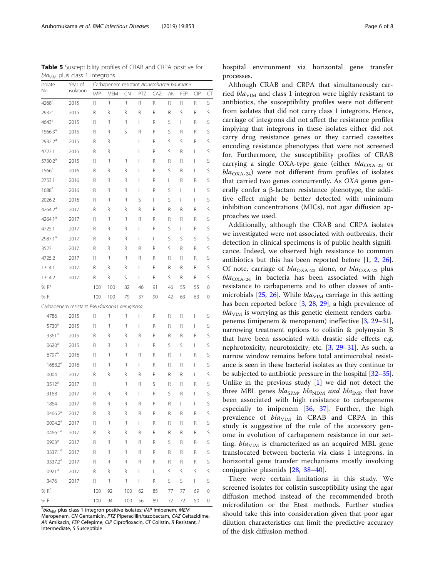hospital environment via horizontal gene transfer processes.

Although CRAB and CRPA that simultaneously carried  $bla<sub>VIM</sub>$  and class 1 integron were highly resistant to antibiotics, the susceptibility profiles were not different from isolates that did not carry class 1 integrons. Hence, carriage of integrons did not affect the resistance profiles implying that integrons in these isolates either did not carry drug resistance genes or they carried cassettes encoding resistance phenotypes that were not screened for. Furthermore, the susceptibility profiles of CRAB carrying a single OXA-type gene (either  $bla_{\text{OXA-23}}$  or  $bla_{\text{OX}_4-24}$  were not different from profiles of isolates that carried two genes concurrently. As OXA genes generally confer a β-lactam resistance phenotype, the additive effect might be better detected with minimum inhibition concentrations (MICs), not agar diffusion approaches we used.

Additionally, although the CRAB and CRPA isolates we investigated were not associated with outbreaks, their detection in clinical specimens is of public health significance. Indeed, we observed high resistance to common antibiotics but this has been reported before [[1,](#page-6-0) [2](#page-6-0), [26](#page-7-0)]. Of note, carriage of  $bla_{\text{OXA-23}}$  alone, or  $bla_{\text{OXA-23}}$  plus  $bla_{\text{OXA-24}}$  in bacteria has been associated with high resistance to carbapenems and to other classes of anti-microbials [[25](#page-7-0), [26\]](#page-7-0). While  $bla<sub>VIM</sub>$  carriage in this setting has been reported before [[3,](#page-6-0) [28,](#page-7-0) [29\]](#page-7-0), a high prevalence of  $bla<sub>VIM</sub>$  is worrying as this genetic element renders carbapenems (imipenem & meropenem) ineffective [\[3,](#page-6-0) [29](#page-7-0)–[31](#page-7-0)], narrowing treatment options to colistin & polymyxin B that have been associated with drastic side effects e.g. nephrotoxicity, neurotoxicity, etc. [\[3](#page-6-0), [29](#page-7-0)–[31](#page-7-0)]. As such, a narrow window remains before total antimicrobial resistance is seen in these bacterial isolates as they continue to be subjected to antibiotic pressure in the hospital [\[32](#page-7-0)–[35](#page-7-0)]. Unlike in the previous study [\[1](#page-6-0)] we did not detect the three MBL genes bla<sub>SPM</sub>, bla<sub>NDM</sub> and bla<sub>IMP</sub> that have been associated with high resistance to carbapenems especially to imipenem [\[36](#page-7-0), [37](#page-7-0)]. Further, the high prevalence of  $bla_{VIM}$  in CRAB and CRPA in this study is suggestive of the role of the accessory genome in evolution of carbapenem resistance in our setting.  $bla<sub>VIM</sub>$  is characterized as an acquired MBL gene translocated between bacteria via class 1 integrons, in horizontal gene transfer mechanisms mostly involving conjugative plasmids [[28,](#page-7-0) [38](#page-7-0)–[40\]](#page-7-0).

There were certain limitations in this study. We screened isolates for colistin susceptibility using the agar diffusion method instead of the recommended broth microdilution or the Etest methods. Further studies should take this into consideration given that poor agar dilution characteristics can limit the predictive accuracy of the disk diffusion method.

<span id="page-5-0"></span>Table 5 Susceptibility profiles of CRAB and CRPA positive for  $bla<sub>VIM</sub>$  plus class 1 integrons

| Isolate             | Year of                                     | Carbapenem resistant Acinetobacter baumanii |                |                |     |     |    |     |                          |             |
|---------------------|---------------------------------------------|---------------------------------------------|----------------|----------------|-----|-----|----|-----|--------------------------|-------------|
| No.                 | isolation                                   | <b>IMP</b>                                  | MEM            | CN             | PTZ | CAZ | AK | FEP | <b>CIP</b>               | CT          |
| $4268^a$            | 2015                                        | R                                           | R              | R              | R   | R   | R  | R   | R                        | S           |
| $2932^a$            | 2015                                        | R                                           | R              | R              | R   | R   | R  | S   | R                        | S           |
| $4643$ <sup>a</sup> | 2015                                        | R                                           | R              | R              | L   | R   | S  | L   | R                        | S           |
| $1566.3^{\circ}$    | 2015                                        | R                                           | R              | S              | R   | R   | S  | R   | R                        | S           |
| 2932.2 <sup>a</sup> | 2015                                        | R                                           | R              | $\overline{1}$ | L   | R   | S  | S   | R                        | S           |
| 4722.1              | 2015                                        | R                                           | R              | $\overline{1}$ | I   | R   | S  | R   | $\overline{1}$           | S           |
| 5730.2 <sup>a</sup> | 2015                                        | R                                           | R              | R              | I   | R   | R  | R   | $\overline{1}$           | S           |
| $1566^a$            | 2016                                        | R                                           | R              | R              | I   | R   | S  | R   | I                        | S           |
| 2753.1              | 2016                                        | R                                           | R              | R              | I   | R   | T  | R   | R                        | S           |
| $1688$ <sup>a</sup> | 2016                                        | R                                           | R              | R              | L   | R   | S  | I   | $\overline{1}$           | S           |
| 2026.2              | 2016                                        | R                                           | R              | R              | S   | L   | S  | T   | I                        | S           |
| $4264.2^a$          | 2017                                        | R                                           | R              | R              | R   | R   | R  | R   | R                        | S           |
| 4264.1 <sup>a</sup> | 2017                                        | R                                           | R              | R              | R   | R   | R  | R   | R                        | S           |
| 4725.1              | 2017                                        | R                                           | R              | R              | L   | R   | S  | L   | R                        | S           |
| 2987.1 <sup>a</sup> | 2017                                        | R                                           | R              | R              | L   | L   | S  | S   | S                        | S           |
| 3523                | 2017                                        | R                                           | R              | R              | R   | R   | S  | R   | R                        | S           |
| 4725.2              | 2017                                        | R                                           | R              | R              | R   | R   | R  | R   | R                        | S           |
| 1314.1              | 2017                                        | R                                           | R              | R              | L   | R   | R  | R   | R                        | S           |
| 1314.2              | 2017                                        | R                                           | R              | S              | L   | R   | S  | R   | R                        | S           |
| % R <sup>a</sup>    |                                             | 100                                         | 100            | 82             | 46  | 91  | 46 | 55  | 55                       | 0           |
| % R                 |                                             | 100                                         | 100            | 79             | 37  | 90  | 42 | 63  | 63                       | 0           |
|                     | Carbapenem resistant Pseudomonas aeruginosa |                                             |                |                |     |     |    |     |                          |             |
| 4786                | 2015                                        | R                                           | R              | R              | L   | R   | R  | R   | $\overline{1}$           | S           |
| 5730 <sup>a</sup>   | 2015                                        | R                                           | R              | R              | L   | R   | R  | R   | $\overline{1}$           | S           |
| 3361 <sup>a</sup>   | 2015                                        | R                                           | R              | R              | R   | R   | R  | R   | R                        | S           |
| $0620$ <sup>a</sup> | 2015                                        | R                                           | R              | R              | L   | R   | S  | S   | L                        | S           |
| $6797^{\circ}$      | 2016                                        | R                                           | R              | R              | R   | R   | R  | I   | R                        | S           |
| 1688.2 <sup>a</sup> | 2016                                        | R                                           | R              | R              | L   | R   | R  | R   | $\overline{1}$           | S           |
| 0004.1              | 2017                                        | R                                           | R              | R              | R   | R   | R  | R   | $\overline{1}$           | S           |
| $3512^a$            | 2017                                        | R                                           | $\overline{1}$ | R              | R   | S   | R  | R   | R                        | S           |
| 3168                | 2017                                        | R                                           | R              | R              | L   | R   | S  | R   | I                        | S           |
| 1864                | 2017                                        | R                                           | R              | R              | R   | R   | R  | I   | $\overline{\phantom{a}}$ | S           |
| 0466.2 <sup>a</sup> | 2017                                        | R                                           | R              | R              | R   | R   | R  | R   | R                        | S           |
| $0004.2^{\text{a}}$ | 2017                                        | R                                           | R              | R              | L   | R   | R  | R   | R                        | S           |
| 0466.1 <sup>a</sup> | 2017                                        | R                                           | R              | R              | R   | R   | R  | R   | R                        | S           |
| 0903ª               | 2017                                        | R                                           | R              | R              | R   | R   | S  | R   | R                        | S           |
| 3337.1ª             | 2017                                        | R                                           | R              | R              | R   | R   | R  | R   | R                        | S           |
| 3337.2 <sup>a</sup> | 2017                                        | R                                           | R              | R              | R   | R   | R  | R   | R                        | S           |
| 0921 <sup>a</sup>   | 2017                                        | R                                           | R              | R              | I   | L   | S  | S   | S                        | $\sf S$     |
| 3476                | 2017                                        | R                                           | R              | R              | L   | R   | S  | S   | L                        | S           |
| $% R^{a}$ $R^{a}$   |                                             | 100                                         | 92             | 100            | 62  | 85  | 77 | 77  | 69                       | 0           |
| % R                 |                                             | 100                                         | 94             | 100            | 56  | 89  | 72 | 72  | 50                       | $\mathbf 0$ |

<sup>a</sup>bla<sub>VIM</sub> plus class 1 integron positive isolates; IMP Imipenem, MEM Meropenem, CN Gentamicin, PTZ Piperacillin/tazobactam, CAZ Ceftazidime, AK Amikacin, FEP Cefepime, CIP Ciprofloxacin, CT Colistin, R Resistant, I Intermediate, S Susceptible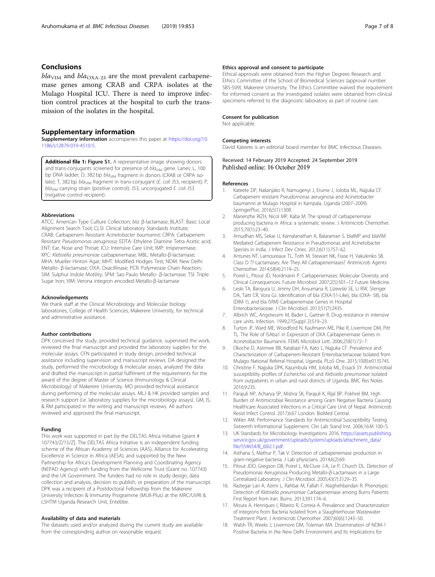# <span id="page-6-0"></span>Conclusions

 $bla<sub>VIM</sub>$  and  $bla<sub>OXA-23</sub>$  are the most prevalent carbapenemase genes among CRAB and CRPA isolates at the Mulago Hospital ICU. There is need to improve infection control practices at the hospital to curb the transmission of the isolates in the hospital.

#### Supplementary information

Supplementary information accompanies this paper at [https://doi.org/10.](https://doi.org/10.1186/s12879-019-4510-5) [1186/s12879-019-4510-5.](https://doi.org/10.1186/s12879-019-4510-5)

Additional file 1: Figure S1. A representative image showing donors and trans-conjugants screened for presence of bla<sub>VIM</sub> gene. Lanes: L, 100 bp DNA ladder; D, 382 bp bla<sub>VIM</sub> fragment in donors (CRAB or CRPA isolate); T, 382 bp bla<sub>VIM</sub> fragment in trans-conjugant (E. coli J53, recipient); P,  $bla<sub>VIM</sub>$  carrying strain (positive control); J53, unconjugated E. coli J53 (negative control recipient).

#### Abbreviations

ATCC: American Type Culture Collection; bla: β-lactamase; BLAST: Basic Local Alignment Search Tool; CLSI: Clinical laboratory Standards Institute; CRAB: Carbapenem Resistant Acinetobacter baumannii; CRPA: Carbapenem Resistant Pseudomonas aeruginosa; EDTA: Ethylene Diamine Tetra Acetic acid; ENT: Ear, Nose and Throat; ICU: Intensive Care Unit; IMP: Imipenemase; KPC: Klebsiella pneumoniae carbapenemase; MBL: Metallo-β-lactamase; MHA: Mueller Hinton Agar; MHT: Modified Hodges Test; NDM: New Delhi Metallo- β-lactamase; OXA: Oxacillinase; PCR: Polymerase Chain Reaction; SIM: Sulphur Indole Motility; SPM: Sao Paulo Metallo- β-lactamase; TSI: Triple Sugar Iron; VIM: Verona integron encoded Metallo-β-lactamase

# Acknowledgements

We thank staff at the Clinical Microbiology and Molecular biology laboratories, College of Health Sciences, Makerere University, for technical and administrative assistance.

#### Author contributions

DPK conceived the study, provided technical guidance, supervised the work, reviewed the final manuscript and provided the laboratory supplies for the molecular assays. CFN participated in study design, provided technical assistance including supervision and manuscript reviews. DA designed the study, performed the microbiology & molecular assays, analyzed the data and drafted the manuscript in partial fulfilment of the requirements for the award of the degree of Master of Science (Immunology & Clinical Microbiology) of Makerere University. MO provided technical assistance during performing of the molecular assays. MLJ & HK provided samples and research support (i.e. laboratory supplies for the microbiology assays). GM, IS, & RM participated in the writing and manuscript reviews. All authors reviewed and approved the final manuscript.

#### Funding

This work was supported in part by the DELTAS Africa Initiative [grant # 107743/Z/15/Z]. The DELTAS Africa Initiative is an independent funding scheme of the African Academy of Sciences (AAS), Alliance for Accelerating Excellence in Science in Africa (AESA), and supported by the New Partnership for Africa's Development Planning and Coordinating Agency (NEPAD Agency) with funding from the Wellcome Trust (Grant no. 107743) and the UK Government. The funders had no role in study design, data collection and analysis, decision to publish, or preparation of the manuscript. DPK was a recipient of a Postdoctoral Fellowship from the Makerere University Infection & Immunity Programme (MUII-Plus) at the MRC/UVRI & LSHTM Uganda Research Unit, Entebbe.

#### Availability of data and materials

The datasets used and/or analyzed during the current study are available from the corresponding author on reasonable request.

## Ethics approval and consent to participate

Ethical approvals were obtained from the Higher Degrees Research and Ethics Committee of the School of Biomedical Sciences (approval number: SBS-509), Makerere University. The Ethics Committee waived the requirement for informed consent as the investigated isolates were obtained from clinical specimens referred to the diagnostic laboratory as part of routine care.

#### Consent for publication

Not applicable.

#### Competing interests

David Kateete is an editorial board member for BMC Infectious Diseases.

# Received: 14 February 2019 Accepted: 24 September 2019

#### **References**

- Kateete DP, Nakanjako R, Namugenyi J, Erume J, Joloba ML, Najjuka CF. Carbapenem resistant Pseudomonas aeruginosa and Acinetobacter baumannii at Mulago Hospital in Kampala, Uganda (2007–2009). SpringerPlus. 2016;5(1):1308.
- 2. Manenzhe RIZH, Nicol MP, Kaba M. The spread of carbapenemase producing bacteria in Africa: a systematic review. J Antimicrob Chemother. 2015;70(1):23–40.
- 3. Amudhan MS, Sekar U, Kamalanathan A, Balaraman S. blaIMP and blaVIM Mediated Carbapenem Resistance in Pseudomonas and Acinetobacter Species in India. J Infect Dev Ctries. 2012;6(11):757–62.
- 4. Antunes NT, Lamoureaux TL, Toth M, Stewart NK, Frase H, Vakulenko SB. Class D ??-Lactamases: Are They All Carbapenemases? Antimicrob Agents Chemother. 2014;58(4):2119–25.
- 5. Poirel L, Pitout JD, Nordmann P. Carbapenemases: Molecular Diversity and Clinical Consequences. Future Microbiol. 2007;2(5):501–12 Future Medicine.
- 6. Leski TA, Bangura U, Jimmy DH, Ansumana R, Lizewski SE, Li RW, Stenger DA, Taitt CR, Vora GJ. Identification of bla (OXA-51-Like), bla (OXA- 58), bla (DIM-1), and bla (VIM) Carbapenemase Genes in Hospital Enterobacteriaceae. J Clin Microbiol. 2013;51(7):2435.
- 7. Albrich WC, Angstwurm M, Bader L, Gartner R. Drug resistance in intensive care units. Infection. 1999;27(Suppl 2):S19–23.
- 8. Turton JF, Ward ME, Woodford N, Kaufmann ME, Pike R, Livermore DM, Pitt TL. The Role of ISAba1 in Expression of OXA Carbapenemase Genes in Acinetobacter Baumannii. FEMS Microbiol Lett. 2006;258(1):72–7.
- 9. Okoche D, Asiimwe BB, Katabazi FA, Kato L, Najjuka CF. Prevalence and Characterization of Carbapenem-Resistant Enterobacteriaceae Isolated from Mulago National Referral Hospital, Uganda. PLoS One. 2015;10(8):e0135745.
- 10. Christine F, Najjuka DPK, Kajumbula HM, Joloba ML, Essack SY. Antimicrobial susceptibility profiles of Escherichia coli and Klebsiella pneumoniae isolated from outpatients in urban and rural districts of Uganda. BMC Res Notes. 2016;9:235.
- 11. Parajuli NP, Acharya SP, Mishra SK, Parajuli K, Rijal BP, Pokhrel BM. High Burden of Antimicrobial Resistance among Gram Negative Bacteria Causing Healthcare Associated Infections in a Critical Care Unit of Nepal. Antimicrob Resist Infect Control. 2017;6:67 London: BioMed Central.
- 12. Wikler AM. Performance Standards for Antimicrobial Susceptibility Testing Sixteenth Informational Supplement. Clin Lab Stand Inst. 2006;16:M 100–S.
- 13. UK Standards for Microbiology Investigations 2016. [https://assets.publishing.](https://assets.publishing.service.gov.uk/government/uploads/system/uploads/attachment_data/file/554654/B_60i2.1.pdf) [service.gov.uk/government/uploads/system/uploads/attachment\\_data/](https://assets.publishing.service.gov.uk/government/uploads/system/uploads/attachment_data/file/554654/B_60i2.1.pdf) [file/554654/B\\_60i2.1.pdf.](https://assets.publishing.service.gov.uk/government/uploads/system/uploads/attachment_data/file/554654/B_60i2.1.pdf)
- 14. Asthana S, Mathur P, Tak V. Detection of carbapenemase production in gram-negative bacteria. J Lab physicians. 2014;6(2):69.
- 15. Pitout JDD, Gregson DB, Poirel L, McClure J-A, Le P, Church DL. Detection of Pseudomonas Aeruginosa Producing Metallo-β-Lactamases in a Large Centralized Laboratory. J Clin Microbiol. 2005;43(7):3129–35.
- 16. Rastegar Lari A, Azimi L, Rahbar M, Fallah F, Alaghehbandan R. Phenotypic Detection of Klebsiella pneumoniae Carbapenemase among Burns Patients: First Report from Iran. Burns. 2013;391:174–6.
- 17. Moura A, Henriques I, Ribeiro R, Correia A. Prevalence and Characterization of Integrons from Bacteria Isolated from a Slaughterhouse Wastewater Treatment Plant. J Antimicrob Chemother. 2007;60(6):1243–50.
- 18. Walsh TR, Weeks J, Livermore DM, Toleman MA. Dissemination of NDM-1 Positive Bacteria in the New Delhi Environment and Its Implications for